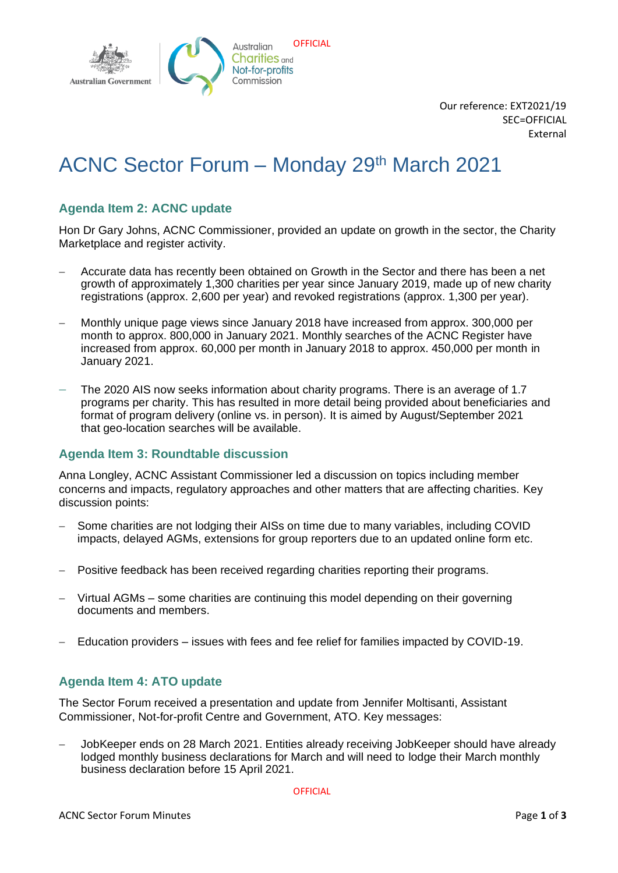

Our reference: EXT2021/19 SEC=OFFICIAL External

# ACNC Sector Forum – Monday 29th March 2021

## **Agenda Item 2: ACNC update**

Hon Dr Gary Johns, ACNC Commissioner, provided an update on growth in the sector, the Charity Marketplace and register activity.

- − Accurate data has recently been obtained on Growth in the Sector and there has been a net growth of approximately 1,300 charities per year since January 2019, made up of new charity registrations (approx. 2,600 per year) and revoked registrations (approx. 1,300 per year).
- − Monthly unique page views since January 2018 have increased from approx. 300,000 per month to approx. 800,000 in January 2021. Monthly searches of the ACNC Register have increased from approx. 60,000 per month in January 2018 to approx. 450,000 per month in January 2021.
- The 2020 AIS now seeks information about charity programs. There is an average of 1.7 programs per charity. This has resulted in more detail being provided about beneficiaries and format of program delivery (online vs. in person). It is aimed by August/September 2021 that geo-location searches will be available.

#### **Agenda Item 3: Roundtable discussion**

Anna Longley, ACNC Assistant Commissioner led a discussion on topics including member concerns and impacts, regulatory approaches and other matters that are affecting charities. Key discussion points:

- − Some charities are not lodging their AISs on time due to many variables, including COVID impacts, delayed AGMs, extensions for group reporters due to an updated online form etc.
- − Positive feedback has been received regarding charities reporting their programs.
- − Virtual AGMs some charities are continuing this model depending on their governing documents and members.
- − Education providers issues with fees and fee relief for families impacted by COVID-19.

## **Agenda Item 4: ATO update**

The Sector Forum received a presentation and update from Jennifer Moltisanti, Assistant Commissioner, Not-for-profit Centre and Government, ATO. Key messages:

− JobKeeper ends on 28 March 2021. Entities already receiving JobKeeper should have already lodged monthly business declarations for March and will need to lodge their March monthly business declaration before 15 April 2021.

**OFFICIAL**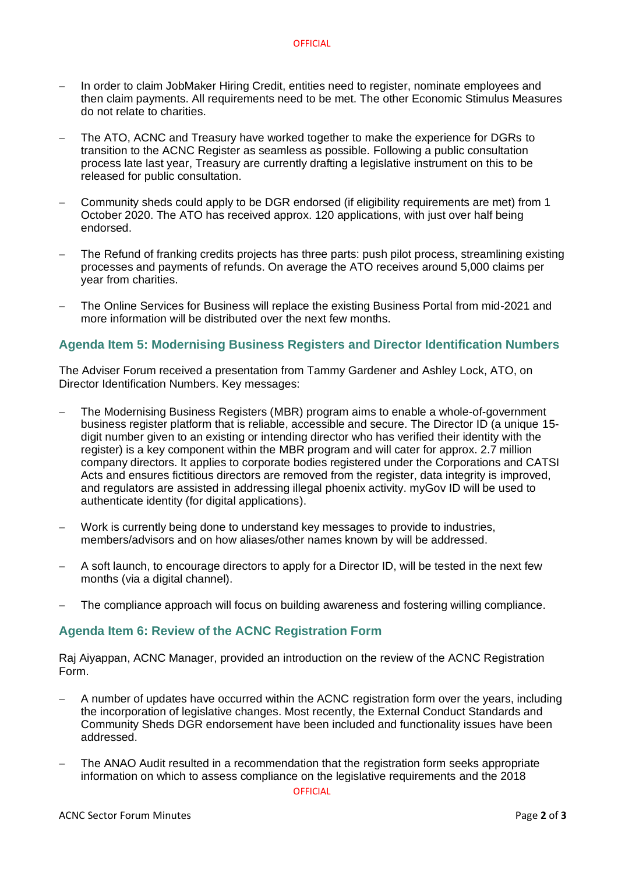- − In order to claim JobMaker Hiring Credit, entities need to register, nominate employees and then claim payments. All requirements need to be met. The other Economic Stimulus Measures do not relate to charities.
- The ATO, ACNC and Treasury have worked together to make the experience for DGRs to transition to the ACNC Register as seamless as possible. Following a public consultation process late last year, Treasury are currently drafting a legislative instrument on this to be released for public consultation.
- − Community sheds could apply to be DGR endorsed (if eligibility requirements are met) from 1 October 2020. The ATO has received approx. 120 applications, with just over half being endorsed.
- The Refund of franking credits projects has three parts: push pilot process, streamlining existing processes and payments of refunds. On average the ATO receives around 5,000 claims per year from charities.
- The Online Services for Business will replace the existing Business Portal from mid-2021 and more information will be distributed over the next few months.

#### **Agenda Item 5: Modernising Business Registers and Director Identification Numbers**

The Adviser Forum received a presentation from Tammy Gardener and Ashley Lock, ATO, on Director Identification Numbers. Key messages:

- The Modernising Business Registers (MBR) program aims to enable a whole-of-government business register platform that is reliable, accessible and secure. The Director ID (a unique 15 digit number given to an existing or intending director who has verified their identity with the register) is a key component within the MBR program and will cater for approx. 2.7 million company directors. It applies to corporate bodies registered under the Corporations and CATSI Acts and ensures fictitious directors are removed from the register, data integrity is improved, and regulators are assisted in addressing illegal phoenix activity. myGov ID will be used to authenticate identity (for digital applications).
- − Work is currently being done to understand key messages to provide to industries, members/advisors and on how aliases/other names known by will be addressed.
- A soft launch, to encourage directors to apply for a Director ID, will be tested in the next few months (via a digital channel).
- The compliance approach will focus on building awareness and fostering willing compliance.

#### **Agenda Item 6: Review of the ACNC Registration Form**

Raj Aiyappan, ACNC Manager, provided an introduction on the review of the ACNC Registration Form.

- A number of updates have occurred within the ACNC registration form over the years, including the incorporation of legislative changes. Most recently, the External Conduct Standards and Community Sheds DGR endorsement have been included and functionality issues have been addressed.
- The ANAO Audit resulted in a recommendation that the registration form seeks appropriate information on which to assess compliance on the legislative requirements and the 2018